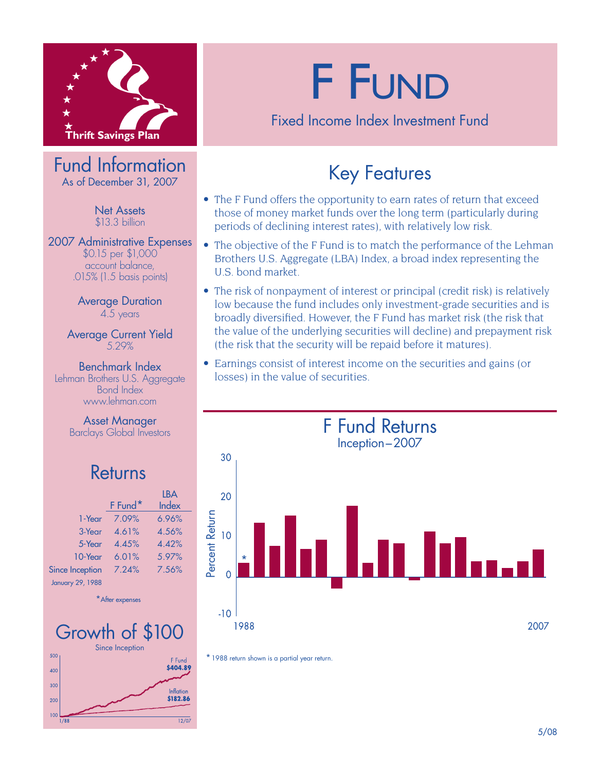

Fund Information<br>As of December 31, 2007

Net Assets \$13.3 billion

2007 Administrative Expenses \$0.15 per \$1,000 account balance, .015% (1.5 basis points)

> Average Duration 4.5 years

Average Current Yield 5.29%

Benchmark Index Lehman Brothers U.S. Aggregate Bond Index www.lehman.com

> Asset Manager Barclays Global Investors

#### **Returns**

|                         |                     | LBA   |
|-------------------------|---------------------|-------|
|                         | F Fund <sup>*</sup> | Index |
| 1-Year                  | 7.09%               | 6.96% |
| $3$ -Year               | 4.61%               | 4.56% |
| 5-Year                  | 4.45%               | 4.42% |
| $10$ -Year              | 6.01%               | 5.97% |
| <b>Since Inception</b>  | 7.24%               | 7.56% |
| <b>January 29, 1988</b> |                     |       |
| * After expenses        |                     |       |



# **F FUND**

Fixed Income Index Investment Fund

### Key Features

- The F Fund offers the opportunity to earn rates of return that exceed those of money market funds over the long term (particularly during periods of declining interest rates), with relatively low risk.
- The objective of the F Fund is to match the performance of the Lehman Brothers U.S. Aggregate (LBA) Index, a broad index representing the U.S. bond market.
- The risk of nonpayment of interest or principal (credit risk) is relatively low because the fund includes only investment-grade securities and is broadly diversified. However, the F Fund has market risk (the risk that the value of the underlying securities will decline) and prepayment risk (the risk that the security will be repaid before it matures).
- Earnings consist of interest income on the securities and gains (or losses) in the value of securities.



\*1988 return shown is a partial year return.